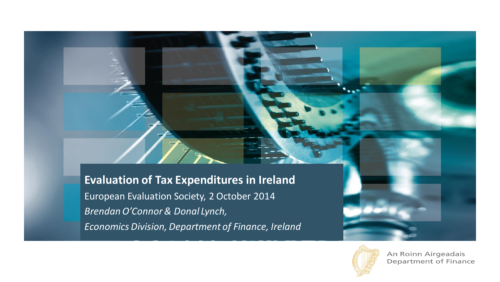# **Evaluation of Tax Expenditures in Ireland** European Evaluation Society, 2 October 2014 *Brendan O'Connor & Donal Lynch,*

*Economics Division, Department of Finance, Ireland*



An Roinn Airgeadais Department of Finance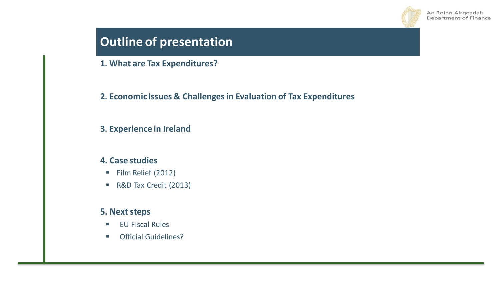

# **Outline of presentation**

**1. What are Tax Expenditures?**

**2. Economic Issues & Challenges in Evaluation of Tax Expenditures**

#### **3. Experience in Ireland**

#### **4. Case studies**

- Film Relief (2012)
- R&D Tax Credit (2013)

#### **5. Next steps**

- **EU Fiscal Rules**
- **Official Guidelines?**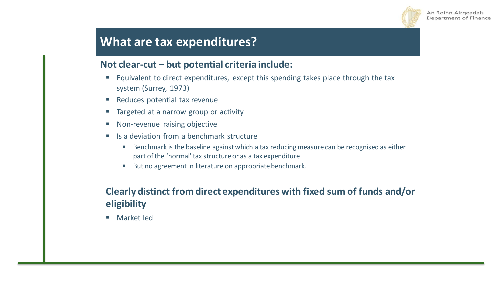

## **What are tax expenditures?**

### **Not clear-cut – but potential criteria include:**

- **Equivalent to direct expenditures, except this spending takes place through the tax** system (Surrey, 1973)
- Reduces potential tax revenue
- **Targeted at a narrow group or activity**
- Non-revenue raising objective
- Is a deviation from a benchmark structure
	- Benchmark is the baseline against which a tax reducing measure can be recognised as either part of the 'normal' tax structure or as a tax expenditure
	- But no agreement in literature on appropriate benchmark.

### **Clearly distinct from direct expenditures with fixed sum of funds and/or eligibility**

■ Market led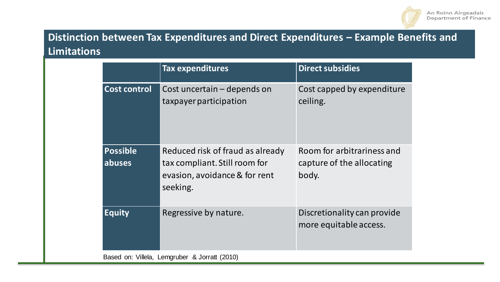

### **Distinction between Tax Expenditures and Direct Expenditures – Example Benefits and Limitations**

|                                               | <b>Tax expenditures</b>                                                                                        | <b>Direct subsidies</b>                                          |  |  |  |  |
|-----------------------------------------------|----------------------------------------------------------------------------------------------------------------|------------------------------------------------------------------|--|--|--|--|
| <b>Cost control</b>                           | Cost uncertain – depends on<br>taxpayer participation                                                          | Cost capped by expenditure<br>ceiling.                           |  |  |  |  |
| <b>Possible</b><br>abuses                     | Reduced risk of fraud as already<br>tax compliant. Still room for<br>evasion, avoidance & for rent<br>seeking. | Room for arbitrariness and<br>capture of the allocating<br>body. |  |  |  |  |
| <b>Equity</b>                                 | Regressive by nature.                                                                                          | Discretionality can provide<br>more equitable access.            |  |  |  |  |
| Based on: Villela, Lemgruber & Jorratt (2010) |                                                                                                                |                                                                  |  |  |  |  |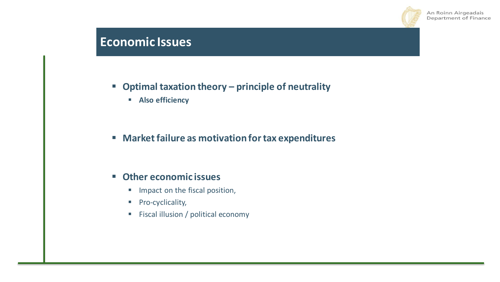

# **What are tax expenditures in the slides in the slides in the slides in the slides in the slides in the slides in the slides in the slides in the slides in the slides in the slides in the slides in the slides in the slides**

### **Optimal taxation theory – principle of neutrality**

**Also efficiency**

### **Market failure as motivation for tax expenditures**

#### **Other economic issues**

- **Impact on the fiscal position,**
- **Pro-cyclicality,**
- **Fiscal illusion / political economy**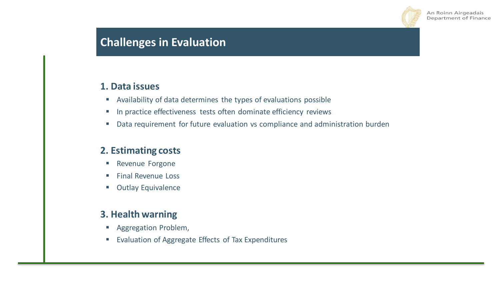

### **Challenges in Evaluation**

#### **1. Data issues**

- Availability of data determines the types of evaluations possible
- **In practice effectiveness tests often dominate efficiency reviews**
- Data requirement for future evaluation vs compliance and administration burden

### **2. Estimating costs**

- **Revenue Forgone**
- **Final Revenue Loss**
- **Outlay Equivalence**

### **3. Health warning**

- **Aggregation Problem,**
- **EValuation of Aggregate Effects of Tax Expenditures**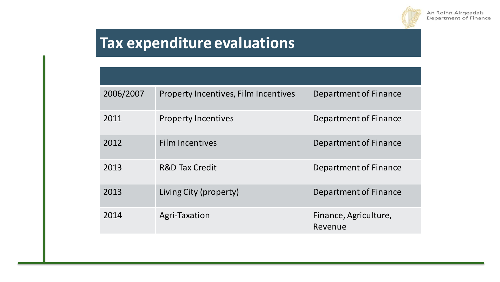

# **Tax expenditure evaluations**

| 2006/2007 | Property Incentives, Film Incentives | Department of Finance            |  |  |
|-----------|--------------------------------------|----------------------------------|--|--|
| 2011      | <b>Property Incentives</b>           | Department of Finance            |  |  |
| 2012      | <b>Film Incentives</b>               | Department of Finance            |  |  |
| 2013      | <b>R&amp;D Tax Credit</b>            | Department of Finance            |  |  |
| 2013      | Living City (property)               | Department of Finance            |  |  |
| 2014      | Agri-Taxation                        | Finance, Agriculture,<br>Revenue |  |  |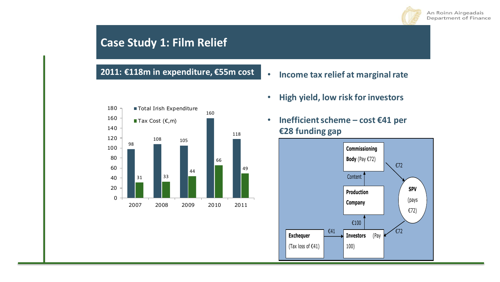

### **Case Study 1: Film Relief**

### **2011: €118m in expenditure, €55m cost** • **Income tax relief at marginal rate**

- 98 108 105 160 118 31 33 44 66 49 0 20 40 60 80 100 120 140 160 180 2007 2008 2009 2010 2011 ■ Total Irish Expenditure Tax Cost  $(\epsilon, m)$
- 
- **High yield, low risk for investors**
- **Inefficient scheme – cost €41 per €28 funding gap**

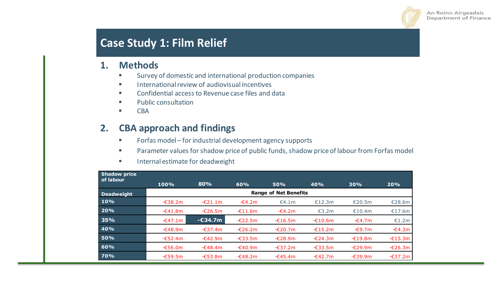

### **Case Study 1: Film Relief**

#### **1. Methods**

- Survey of domestic and international production companies
- **International review of audiovisual incentives**
- **EXECONFEDENTIAL ACCESS TO Revenue case files and data**
- **Public consultation**
- **CBA**

### **2. CBA approach and findings**

- **Forfas model for industrial development agency supports**
- Parameter values for shadow price of public funds, shadow price of labour from Forfas model
- **Internal estimate for deadweight**

| <b>Shadow price</b><br>of labour |                              |            |                   |            |                   |                  |                   |  |  |
|----------------------------------|------------------------------|------------|-------------------|------------|-------------------|------------------|-------------------|--|--|
|                                  | 100%                         | 80%        | 60%               | <b>50%</b> | 40%               | 30%              | 20%               |  |  |
| <b>Deadweight</b>                | <b>Range of Net Benefits</b> |            |                   |            |                   |                  |                   |  |  |
| 10%                              | $-638.2m$                    | $-£21.1m$  | $-64.2m$          | €4.1m      | €12.3m            | €20.5m           | €28.6m            |  |  |
| 20%                              | $-641.8m$                    | $-£26.5m$  | $-£11.6m$         | $-64.2m$   | €3.2m             | €10.4m           | €17.6m            |  |  |
| 35%                              | $-647.1m$                    | $-$ £34.7m | $-\epsilon$ 22.5m | $-£16.5m$  | $-£10.6m$         | $-64.7m$         | €1.2m             |  |  |
| 40%                              | $-648.9m$                    | $-637.4m$  | $-£26.2m$         | $-£20.7m$  | $-£15.2m$         | $-\epsilon$ 9.7m | $-\epsilon$ 4.3m  |  |  |
| <b>50%</b>                       | $-652.4m$                    | $-642.9m$  | $-633.5m$         | $-£28.9m$  | $-£24.3m$         | $-£19.8m$        | $-£15.3m$         |  |  |
| 60%                              | $-656.0m$                    | $-648.4m$  | $-640.9m$         | $-637.2m$  | $-\epsilon$ 33.5m | $-£29.9m$        | $-\epsilon$ 26.3m |  |  |
| 70%                              | $-659.5m$                    | $-653.8m$  | $-648.2m$         | $-645.4m$  | $-642.7m$         | $-639.9m$        | -€37.2m           |  |  |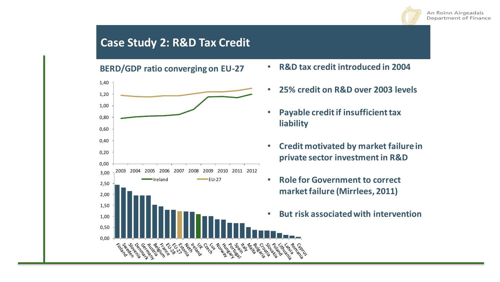

### **Case Study 2: R&D Tax Credit**

**BERD/GDP ratio converging on EU-27** • **R&D tax credit introduced in 2004**



- 
- **25% credit on R&D over 2003 levels**
- **Payable credit if insufficient tax liability**
- **Credit motivated by market failure in private sector investment in R&D**
- **Role for Government to correct market failure (Mirrlees, 2011)**
- **But risk associated with intervention**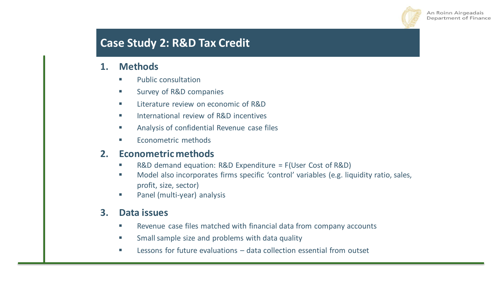

## **Case Study 2: R&D Tax Credit**

#### **1. Methods**

- **Public consultation**
- **Survey of R&D companies**
- Literature review on economic of R&D
- International review of R&D incentives
- **EXECUTE:** Analysis of confidential Revenue case files
- Econometric methods

#### **2. Econometric methods**

- R&D demand equation: R&D Expenditure = F(User Cost of R&D)
- **Model also incorporates firms specific 'control' variables (e.g. liquidity ratio, sales,** profit, size, sector)
- **Panel (multi-year) analysis**

#### **3. Data issues**

- **EXECTE:** Revenue case files matched with financial data from company accounts
- Small sample size and problems with data quality
- Lessons for future evaluations data collection essential from outset